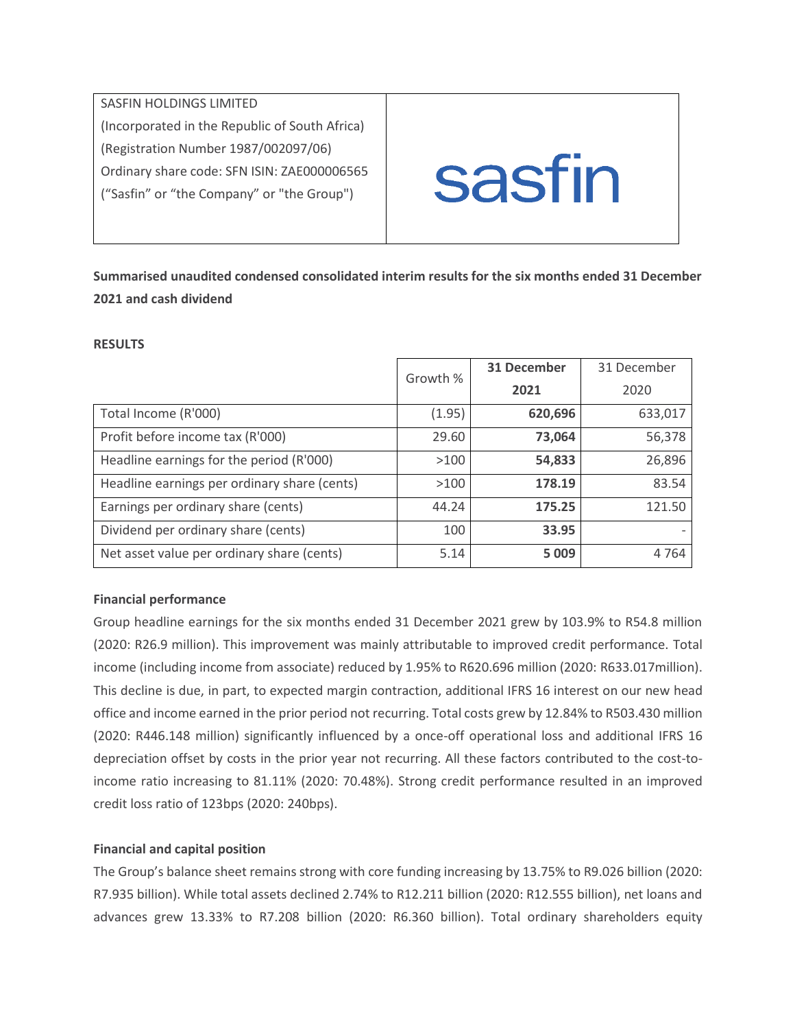SASFIN HOLDINGS LIMITED (Incorporated in the Republic of South Africa) (Registration Number 1987/002097/06) Ordinary share code: SFN ISIN: ZAE000006565 ("Sasfin" or "the Company" or "the Group")



**Summarised unaudited condensed consolidated interim results for the six months ended 31 December 2021 and cash dividend**

### **RESULTS**

|                                              | Growth % | <b>31 December</b> | 31 December |
|----------------------------------------------|----------|--------------------|-------------|
|                                              |          | 2021               | 2020        |
| Total Income (R'000)                         | (1.95)   | 620,696            | 633,017     |
| Profit before income tax (R'000)             | 29.60    | 73,064             | 56,378      |
| Headline earnings for the period (R'000)     | >100     | 54,833             | 26,896      |
| Headline earnings per ordinary share (cents) | >100     | 178.19             | 83.54       |
| Earnings per ordinary share (cents)          | 44.24    | 175.25             | 121.50      |
| Dividend per ordinary share (cents)          | 100      | 33.95              |             |
| Net asset value per ordinary share (cents)   | 5.14     | 5 0 0 9            | 4764        |

# **Financial performance**

Group headline earnings for the six months ended 31 December 2021 grew by 103.9% to R54.8 million (2020: R26.9 million). This improvement was mainly attributable to improved credit performance. Total income (including income from associate) reduced by 1.95% to R620.696 million (2020: R633.017million). This decline is due, in part, to expected margin contraction, additional IFRS 16 interest on our new head office and income earned in the prior period not recurring. Total costs grew by 12.84% to R503.430 million (2020: R446.148 million) significantly influenced by a once-off operational loss and additional IFRS 16 depreciation offset by costs in the prior year not recurring. All these factors contributed to the cost-toincome ratio increasing to 81.11% (2020: 70.48%). Strong credit performance resulted in an improved credit loss ratio of 123bps (2020: 240bps).

# **Financial and capital position**

The Group's balance sheet remains strong with core funding increasing by 13.75% to R9.026 billion (2020: R7.935 billion). While total assets declined 2.74% to R12.211 billion (2020: R12.555 billion), net loans and advances grew 13.33% to R7.208 billion (2020: R6.360 billion). Total ordinary shareholders equity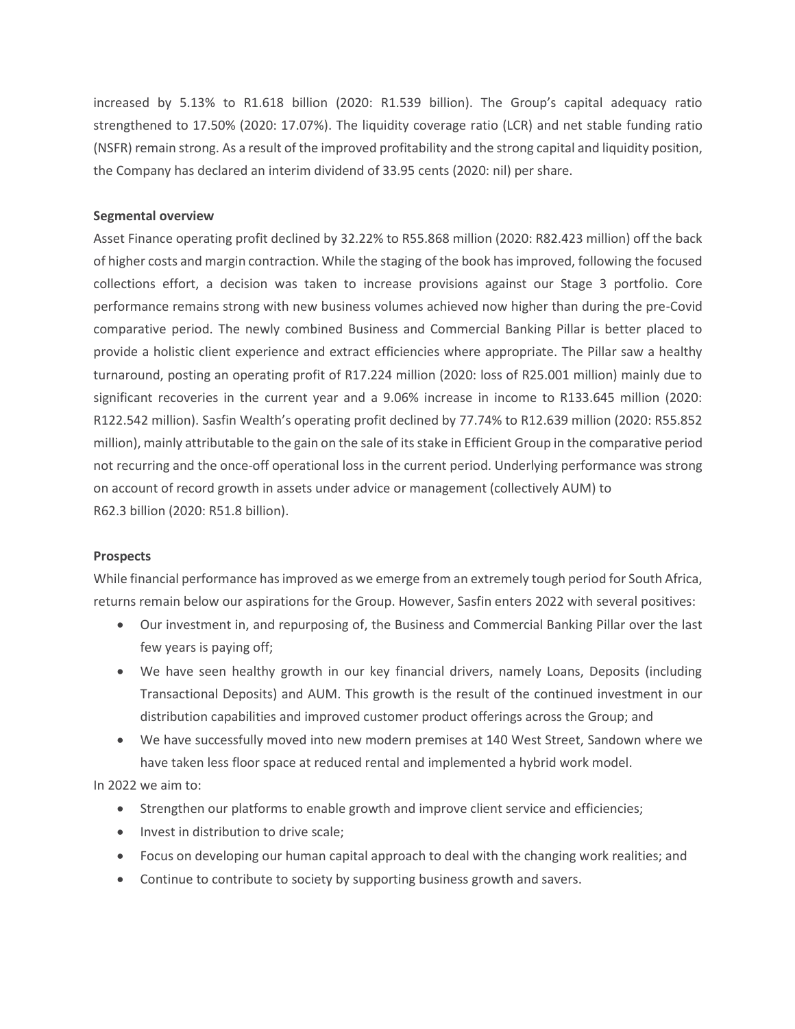increased by 5.13% to R1.618 billion (2020: R1.539 billion). The Group's capital adequacy ratio strengthened to 17.50% (2020: 17.07%). The liquidity coverage ratio (LCR) and net stable funding ratio (NSFR) remain strong. As a result of the improved profitability and the strong capital and liquidity position, the Company has declared an interim dividend of 33.95 cents (2020: nil) per share.

### **Segmental overview**

Asset Finance operating profit declined by 32.22% to R55.868 million (2020: R82.423 million) off the back of higher costs and margin contraction. While the staging of the book has improved, following the focused collections effort, a decision was taken to increase provisions against our Stage 3 portfolio. Core performance remains strong with new business volumes achieved now higher than during the pre-Covid comparative period. The newly combined Business and Commercial Banking Pillar is better placed to provide a holistic client experience and extract efficiencies where appropriate. The Pillar saw a healthy turnaround, posting an operating profit of R17.224 million (2020: loss of R25.001 million) mainly due to significant recoveries in the current year and a 9.06% increase in income to R133.645 million (2020: R122.542 million). Sasfin Wealth's operating profit declined by 77.74% to R12.639 million (2020: R55.852 million), mainly attributable to the gain on the sale of its stake in Efficient Group in the comparative period not recurring and the once-off operational loss in the current period. Underlying performance was strong on account of record growth in assets under advice or management (collectively AUM) to R62.3 billion (2020: R51.8 billion).

### **Prospects**

While financial performance has improved as we emerge from an extremely tough period for South Africa, returns remain below our aspirations for the Group. However, Sasfin enters 2022 with several positives:

- Our investment in, and repurposing of, the Business and Commercial Banking Pillar over the last few years is paying off;
- We have seen healthy growth in our key financial drivers, namely Loans, Deposits (including Transactional Deposits) and AUM. This growth is the result of the continued investment in our distribution capabilities and improved customer product offerings across the Group; and
- We have successfully moved into new modern premises at 140 West Street, Sandown where we have taken less floor space at reduced rental and implemented a hybrid work model.

In 2022 we aim to:

- Strengthen our platforms to enable growth and improve client service and efficiencies;
- Invest in distribution to drive scale;
- Focus on developing our human capital approach to deal with the changing work realities; and
- Continue to contribute to society by supporting business growth and savers.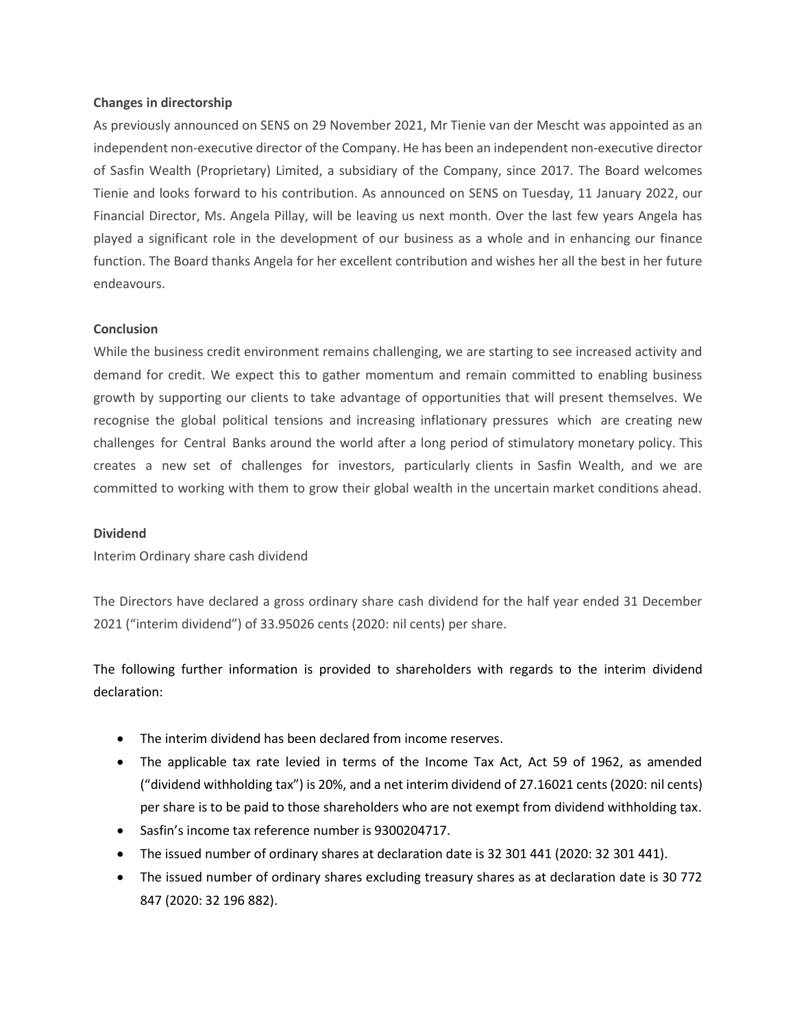#### **Changes in directorship**

As previously announced on SENS on 29 November 2021, Mr Tienie van der Mescht was appointed as an independent non-executive director of the Company. He has been an independent non-executive director of Sasfin Wealth (Proprietary) Limited, a subsidiary of the Company, since 2017. The Board welcomes Tienie and looks forward to his contribution. As announced on SENS on Tuesday, 11 January 2022, our Financial Director, Ms. Angela Pillay, will be leaving us next month. Over the last few years Angela has played a significant role in the development of our business as a whole and in enhancing our finance function. The Board thanks Angela for her excellent contribution and wishes her all the best in her future endeavours.

### **Conclusion**

While the business credit environment remains challenging, we are starting to see increased activity and demand for credit. We expect this to gather momentum and remain committed to enabling business growth by supporting our clients to take advantage of opportunities that will present themselves. We recognise the global political tensions and increasing inflationary pressures which are creating new challenges for Central Banks around the world after a long period of stimulatory monetary policy. This creates a new set of challenges for investors, particularly clients in Sasfin Wealth, and we are committed to working with them to grow their global wealth in the uncertain market conditions ahead.

#### **Dividend**

Interim Ordinary share cash dividend

The Directors have declared a gross ordinary share cash dividend for the half year ended 31 December 2021 ("interim dividend") of 33.95026 cents (2020: nil cents) per share.

The following further information is provided to shareholders with regards to the interim dividend declaration:

- The interim dividend has been declared from income reserves.
- The applicable tax rate levied in terms of the Income Tax Act, Act 59 of 1962, as amended ("dividend withholding tax") is 20%, and a net interim dividend of 27.16021 cents (2020: nil cents) per share is to be paid to those shareholders who are not exempt from dividend withholding tax.
- Sasfin's income tax reference number is 9300204717.
- The issued number of ordinary shares at declaration date is 32 301 441 (2020: 32 301 441).
- The issued number of ordinary shares excluding treasury shares as at declaration date is 30 772 847 (2020: 32 196 882).